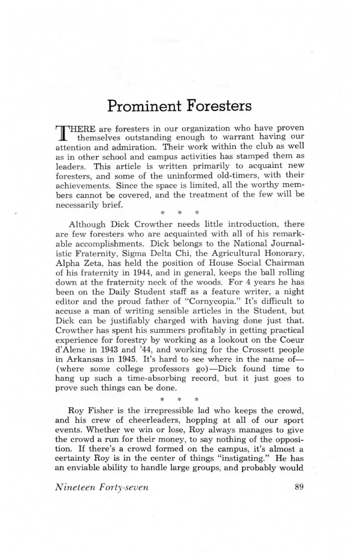## Prominent Foresters

T IHERE are foresters in our organization who have proven themselves outstanding enough to warrant having our attention and admiration. Their work within the club as well as in other school and campus activities has stamped them as leaders. This article is written primarily to acquaint new foresters, and some of the uninformed old-timers, with their achievements. Since the space is limited, all the worthy members cannot be covered, and the treatment of the few will be necessarily brief.

\* \* \*

Although Dick Crowther needs little introduction, there are few foresters who are acquainted with all of his remarkable accomplishments. Dick belongs to the National Jouma1 istic Fratemity, Sigma Delta Chi, the Agricultural Honorary, Alpha Zeta, has held the position o£ House Social Chairman o£ his fraternity in 1944, and in general, keeps the ball rolling down at the fraternity neck of the woods. For 4 years he has been on the Daily Student staff as a feature writer, a night editor and the proud father of "Cornycopia." It's difficult to accuse a man of writing sensible articles in the Student, but Dick can be justifiably charged with having done just that. Crowther has spent his summers profitably in getting practical experience for forestry by working as a lookout on the Coeur d'Alene in 1943 and '44, and working for the Crossett people in Arkansas in 1945. It's hard to see where in the name of-(where some college professors  $g_0$ )—Dick found time to hang up such a time-absorbing record, but it just goes to prove such things can be done.

Roy Fisher is the irrepressible lad who keeps the crowd, and his crew of cheerleaders, hopping at all of our sport events. Whether we win or lose, Roy always manages to give the crowd a run for their money, to say nothing of the opposition. If there's a crowd formed on the campus, it's almost a certainty Roy is in the center of things "instigating." He has an enviable ability to handle large groups, and probably would

\* \* \*

Nineteen Forty-seven 89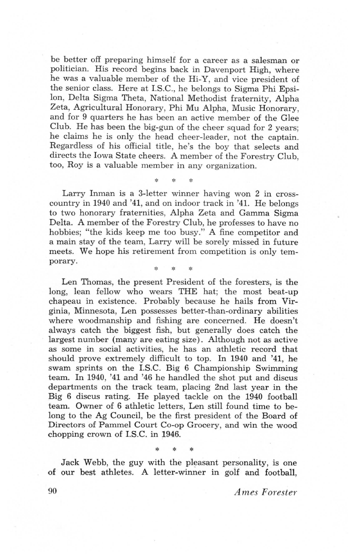be better off preparing himself for a career as a salesman or politician. His record begins back in Davenport High, where he was a valuable member of the Hi-Y, and vice president of the senior class. Here at I.S.C., he belongs to Sigma Phi Epsi-Ion, Delta Sigma Theta, National Methodist fratemity, Alpha Zeta, Agricultural Honorary, Phi Mu Alpha, Music Honorary, and for 9 quarters he has been an active member of the Glee Club. He has been the big-gun of the cheer squad for 2 years; he claims he is only the head cheer-leader, not the captain. Regardless of his official title, he's the boy that selects and directs the Iowa State cheers. A member of the Forestry Club, too, Roy is a valuable member in any organization.

Larry Inman is a 3-letter winner having won 2 in crosscountry in 1940 and '41, and on indoor track in '41. He belongs to two honorary fraternities, Alpha Zeta and Gamma Sigma Delta. A member of the Forestry Club, he professes to have no hobbies; "the kids keep me too busy." A fine competitor and a main stay of the team, Larry will be sorely missed in future meets. We hope his retirement from competition is only temporary.

\* \* \*

\* \* \*

Len Thomas, the present President of the foresters, is the long, lean fellow who wears THE hat; the most beat-up chapeau in existence. Probably because he hails from Vipginia, Minnesota, Len possesses better-than-ordinary abilities where woodmanship and fishing are concerned. He doesn't always catch the biggest fish, but generally does catch the largest number (many are eating size). Although not as active as some in social activities, he has an athletic record that should prove extremely difficult to top. In 1940 and '41, he swam sprints on the I.S.C. Big 6 Championship Swimming team. In 1940, '41 and '46 he handled the shot put and discus departments on the track team, placing 2nd last year in the Big 6 discus rating. He played tackle on the 1940 football team. Ouner of 6 athletic letters, Len still found time to belong to the Ag Council, be the first president of the Board of Directors of Pammel Court Co-op Grocery, and win the wood chopping crown o£ I.S.C. in 1946.

Jack Webb, the guy with the pleasant personality, is one of our best athletes. A letter-winner in golf and football,

\* \* \*

90 Ames Forester